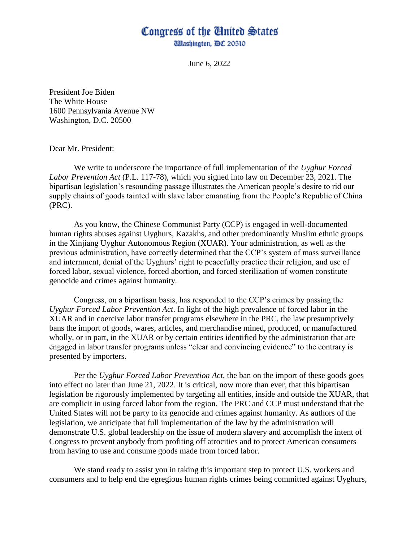## Congress of the Cinited States

*Ullashington, DC 20510* 

June 6, 2022

President Joe Biden The White House 1600 Pennsylvania Avenue NW Washington, D.C. 20500

Dear Mr. President:

We write to underscore the importance of full implementation of the *Uyghur Forced Labor Prevention Act* (P.L. 117-78), which you signed into law on December 23, 2021. The bipartisan legislation's resounding passage illustrates the American people's desire to rid our supply chains of goods tainted with slave labor emanating from the People's Republic of China (PRC).

As you know, the Chinese Communist Party (CCP) is engaged in well-documented human rights abuses against Uyghurs, Kazakhs, and other predominantly Muslim ethnic groups in the Xinjiang Uyghur Autonomous Region (XUAR). Your administration, as well as the previous administration, have correctly determined that the CCP's system of mass surveillance and internment, denial of the Uyghurs' right to peacefully practice their religion, and use of forced labor, sexual violence, forced abortion, and forced sterilization of women constitute genocide and crimes against humanity.

Congress, on a bipartisan basis, has responded to the CCP's crimes by passing the *Uyghur Forced Labor Prevention Act*. In light of the high prevalence of forced labor in the XUAR and in coercive labor transfer programs elsewhere in the PRC, the law presumptively bans the import of goods, wares, articles, and merchandise mined, produced, or manufactured wholly, or in part, in the XUAR or by certain entities identified by the administration that are engaged in labor transfer programs unless "clear and convincing evidence" to the contrary is presented by importers.

Per the *Uyghur Forced Labor Prevention Act*, the ban on the import of these goods goes into effect no later than June 21, 2022. It is critical, now more than ever, that this bipartisan legislation be rigorously implemented by targeting all entities, inside and outside the XUAR, that are complicit in using forced labor from the region. The PRC and CCP must understand that the United States will not be party to its genocide and crimes against humanity. As authors of the legislation, we anticipate that full implementation of the law by the administration will demonstrate U.S. global leadership on the issue of modern slavery and accomplish the intent of Congress to prevent anybody from profiting off atrocities and to protect American consumers from having to use and consume goods made from forced labor.

We stand ready to assist you in taking this important step to protect U.S. workers and consumers and to help end the egregious human rights crimes being committed against Uyghurs,